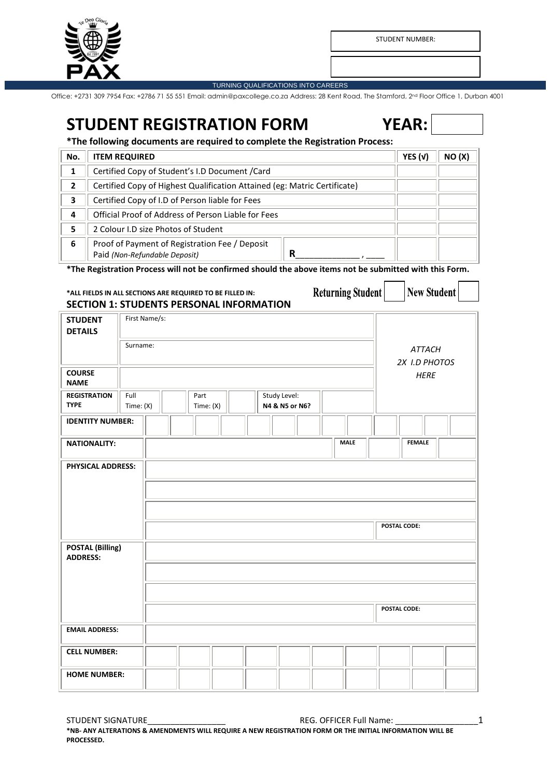

STUDENT NUMBER:

#### TURNING QUALIFICATIONS INTO CAREERS

Office: +2731 309 7954 Fax: +2786 71 55 551 Email: admin@paxcollege.co.za Address: 28 Kent Road, The Stamford, 2nd Floor Office 1, Durban 4001

# **STUDENT REGISTRATION FORM YEAR:**

**\*The following documents are required to complete the Registration Process:**

| No. | <b>ITEM REQUIRED</b>                                                                 | YES $(v)$ | NO (X) |
|-----|--------------------------------------------------------------------------------------|-----------|--------|
|     | Certified Copy of Student's I.D Document / Card                                      |           |        |
| 2   | Certified Copy of Highest Qualification Attained (eg: Matric Certificate)            |           |        |
| 3   | Certified Copy of I.D of Person liable for Fees                                      |           |        |
| 4   | Official Proof of Address of Person Liable for Fees                                  |           |        |
| 5   | 2 Colour I.D size Photos of Student                                                  |           |        |
| 6   | Proof of Payment of Registration Fee / Deposit<br>R<br>Paid (Non-Refundable Deposit) |           |        |

**\*The Registration Process will not be confirmed should the above items not be submitted with this Form.**

# **\*ALL FIELDS IN ALL SECTIONS ARE REQUIRED TO BE FILLED IN: SECTION 1: STUDENTS PERSONAL INFORMATION**

| <b>Returning Student</b> |  | $\vert$ New S |
|--------------------------|--|---------------|
|--------------------------|--|---------------|

**Student** 

| <b>STUDENT</b><br><b>DETAILS</b>           | First Name/s:                                                            |                                |  |
|--------------------------------------------|--------------------------------------------------------------------------|--------------------------------|--|
|                                            | Surname:                                                                 | <b>ATTACH</b><br>2X I.D PHOTOS |  |
| <b>COURSE</b><br><b>NAME</b>               |                                                                          | <b>HERE</b>                    |  |
| <b>REGISTRATION</b><br><b>TYPE</b>         | Full<br>Part<br>Study Level:<br>N4 & N5 or N6?<br>Time: (X)<br>Time: (X) |                                |  |
| <b>IDENTITY NUMBER:</b>                    |                                                                          |                                |  |
| <b>NATIONALITY:</b>                        | <b>MALE</b>                                                              | <b>FEMALE</b>                  |  |
| <b>PHYSICAL ADDRESS:</b>                   |                                                                          | POSTAL CODE:                   |  |
| <b>POSTAL (Billing)</b><br><b>ADDRESS:</b> |                                                                          |                                |  |
|                                            |                                                                          | POSTAL CODE:                   |  |
| <b>EMAIL ADDRESS:</b>                      |                                                                          |                                |  |
| <b>CELL NUMBER:</b>                        |                                                                          |                                |  |
| <b>HOME NUMBER:</b>                        |                                                                          |                                |  |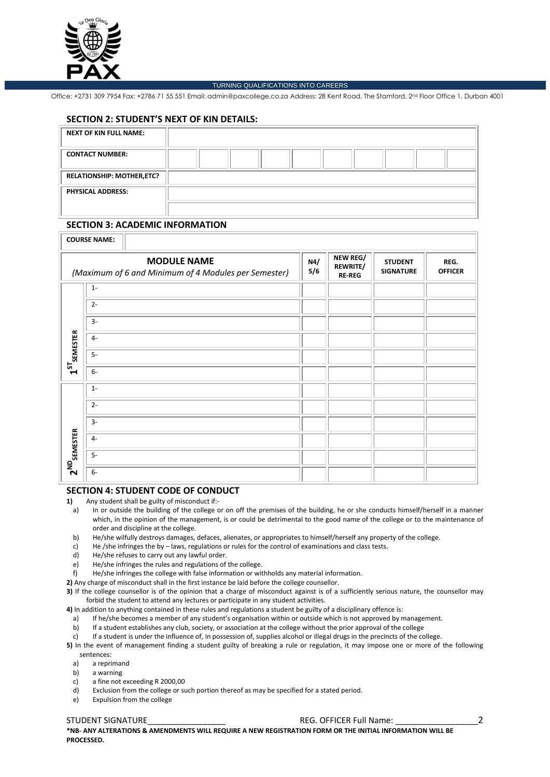

#### TURNING QUALIFICATIONS INTO CAREERS

Office: +2731 309 7954 Fax: +2786 71 55 551 Email: admin@paxcollege.co.za Address: 28 Kent Road, The Stamford, 2nd Floor Office 1, Durban 4001

## **SECTION 2: STUDENT'S NEXT OF KIN DETAILS:**

| <b>NEXT OF KIN FULL NAME:</b>    |  |  |  |  |  |
|----------------------------------|--|--|--|--|--|
| <b>CONTACT NUMBER:</b>           |  |  |  |  |  |
| <b>RELATIONSHIP: MOTHER,ETC?</b> |  |  |  |  |  |
| <b>PHYSICAL ADDRESS:</b>         |  |  |  |  |  |
|                                  |  |  |  |  |  |

# **SECTION 3: ACADEMIC INFORMATION**

|                            | <b>COURSE NAME:</b>                                                        |            |                                       |                                    |                        |
|----------------------------|----------------------------------------------------------------------------|------------|---------------------------------------|------------------------------------|------------------------|
|                            | <b>MODULE NAME</b><br>(Maximum of 6 and Minimum of 4 Modules per Semester) | N4/<br>5/6 | NEW REG/<br>REWRITE/<br><b>RE-REG</b> | <b>STUDENT</b><br><b>SIGNATURE</b> | REG.<br><b>OFFICER</b> |
|                            | $1 -$                                                                      |            |                                       |                                    |                        |
|                            | $2 -$                                                                      |            |                                       |                                    |                        |
|                            | $3-$                                                                       |            |                                       |                                    |                        |
|                            | $4-$                                                                       |            |                                       |                                    |                        |
| $1^{57}$ semester          | $5-$                                                                       |            |                                       |                                    |                        |
|                            | $6-$                                                                       |            |                                       |                                    |                        |
|                            | $1 -$                                                                      |            |                                       |                                    |                        |
|                            | $2 -$                                                                      |            |                                       |                                    |                        |
|                            | $3-$                                                                       |            |                                       |                                    |                        |
|                            | $4-$                                                                       |            |                                       |                                    |                        |
| $2^{\mathrm{ND}}$ semester | $5-$                                                                       |            |                                       |                                    |                        |
|                            | $6-$                                                                       |            |                                       |                                    |                        |

# **SECTION 4: STUDENT CODE OF CONDUCT**

**1)** Any student shall be guilty of misconduct if:-

a) In or outside the building of the college or on off the premises of the building, he or she conducts himself/herself in a manner which, in the opinion of the management, is or could be detrimental to the good name of the college or to the maintenance of order and discipline at the college.

- b) He/she wilfully destroys damages, defaces, alienates, or appropriates to himself/herself any property of the college.
- c) He /she infringes the by laws, regulations or rules for the control of examinations and class tests.
- d) He/she refuses to carry out any lawful order.
- e) He/she infringes the rules and regulations of the college.
- f) He/she infringes the college with false information or withholds any material information.
- **2)** Any charge of misconduct shall in the first instance be laid before the college counsellor.

**3)** If the college counsellor is of the opinion that a charge of misconduct against is of a sufficiently serious nature, the counsellor may forbid the student to attend any lectures or participate in any student activities.

- **4)** In addition to anything contained in these rules and regulations a student be guilty of a disciplinary offence is:
	- a) If he/she becomes a member of any student's organisation within or outside which is not approved by management.
- b) If a student establishes any club, society, or association at the college without the prior approval of the college

c) If a student is under the influence of, in possession of, supplies alcohol or illegal drugs in the precincts of the college.

**5)** In the event of management finding a student guilty of breaking a rule or regulation, it may impose one or more of the following sentences:<br>a) a repri

- a) a reprimand
- b) a warning
- c) a fine not exceeding R 2000,00
- d) Exclusion from the college or such portion thereof as may be specified for a stated period.
- e) Expulsion from the college

# STUDENT SIGNATURE THE REG. OFFICER Full Name:  $\overline{a}$  2

**\*NB- ANY ALTERATIONS & AMENDMENTS WILL REQUIRE A NEW REGISTRATION FORM OR THE INITIAL INFORMATION WILL BE PROCESSED.**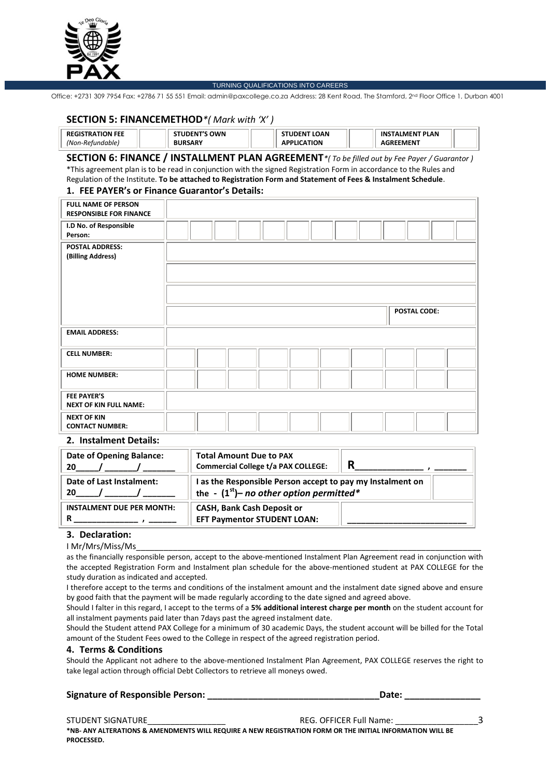

#### TURNING QUALIFICATIONS INTO CAREERS

Office: +2731 309 7954 Fax: +2786 71 55 551 Email: admin@paxcollege.co.za Address: 28 Kent Road, The Stamford, 2nd Floor Office 1, Durban 4001

## **SECTION 5: FINANCEMETHOD***\*( Mark with 'X' )*

| <b>FEE</b><br>ном | OWN<br>- NI | LOAN.<br>. INI      | <b>PLAN</b><br>INS<br><b>MEN</b> |  |
|-------------------|-------------|---------------------|----------------------------------|--|
| าble<br>(Non-R    |             | <b>TION</b><br>- 11 | EMENT                            |  |

## **SECTION 6: FINANCE / INSTALLMENT PLAN AGREEMENT***\*( To be filled out by Fee Payer / Guarantor )*

\*This agreement plan is to be read in conjunction with the signed Registration Form in accordance to the Rules and Regulation of the Institute. **To be attached to Registration Form and Statement of Fees & Instalment Schedule**. **1. FEE PAYER's or Finance Guarantor's Details:**

# **FULL NAME OF PERSON RESPONSIBLE FOR FINANCE I.D No. of Responsible Person: POSTAL ADDRESS: (Billing Address) POSTAL CODE: EMAIL ADDRESS: CELL NUMBER: HOME NUMBER: FEE PAYER'S NEXT OF KIN FULL NAME: NEXT OF KIN CONTACT NUMBER:**

#### **2. Instalment Details:**

| Date of Opening Balance:<br>20   | <b>Total Amount Due to PAX</b><br><b>Commercial College t/a PAX COLLEGE:</b>                             | R |
|----------------------------------|----------------------------------------------------------------------------------------------------------|---|
| Date of Last Instalment:<br>20   | I as the Responsible Person accept to pay my Instalment on<br>the - $(1st)$ - no other option permitted* |   |
| <b>INSTALMENT DUE PER MONTH:</b> | <b>CASH, Bank Cash Deposit or</b><br><b>EFT Paymentor STUDENT LOAN:</b>                                  |   |

#### **3. Declaration:**

#### I Mr/Mrs/Miss/Ms\_\_\_\_\_\_\_\_\_\_\_\_\_\_\_\_\_\_\_\_\_\_\_\_\_\_\_\_\_\_\_\_\_\_\_\_\_\_\_\_\_\_\_\_\_\_\_\_\_\_\_\_\_\_\_\_\_\_\_\_\_\_\_\_\_\_\_\_\_\_\_\_\_\_\_

as the financially responsible person, accept to the above-mentioned Instalment Plan Agreement read in conjunction with the accepted Registration Form and Instalment plan schedule for the above-mentioned student at PAX COLLEGE for the study duration as indicated and accepted.

I therefore accept to the terms and conditions of the instalment amount and the instalment date signed above and ensure by good faith that the payment will be made regularly according to the date signed and agreed above.

Should I falter in this regard, I accept to the terms of a **5% additional interest charge per month** on the student account for all instalment payments paid later than 7days past the agreed instalment date.

Should the Student attend PAX College for a minimum of 30 academic Days, the student account will be billed for the Total amount of the Student Fees owed to the College in respect of the agreed registration period.

#### **4. Terms & Conditions**

Should the Applicant not adhere to the above-mentioned Instalment Plan Agreement, PAX COLLEGE reserves the right to take legal action through official Debt Collectors to retrieve all moneys owed.

#### **Signature of Responsible Person: \_\_\_\_\_\_\_\_\_\_\_\_\_\_\_\_\_\_\_\_\_\_\_\_\_\_\_\_\_\_\_\_\_\_Date: \_\_\_\_\_\_\_\_\_\_\_\_\_\_\_**